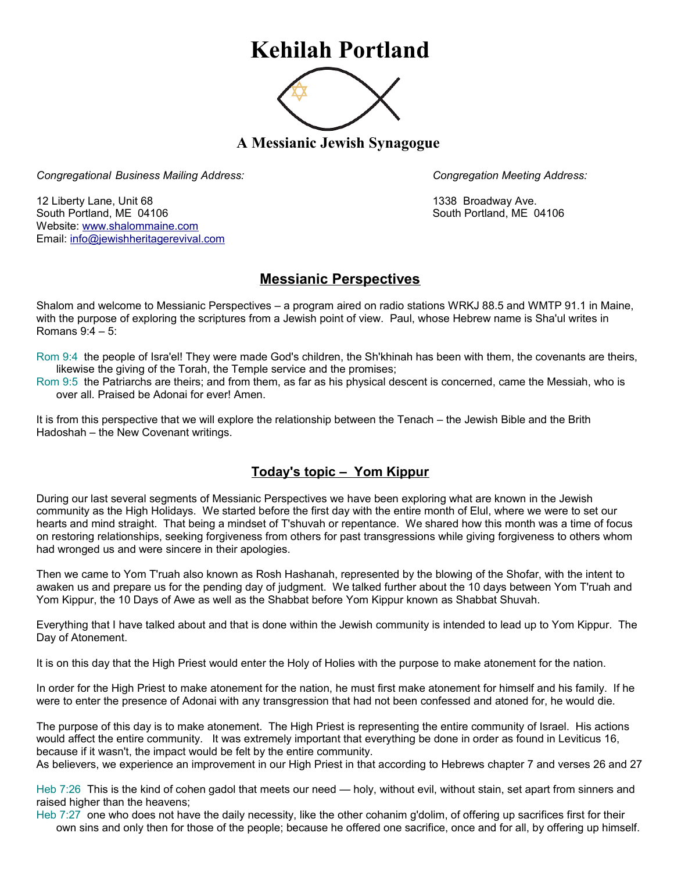## **Kehilah Portland**



**A Messianic Jewish Synagogue** 

*Congregational Business Mailing Address: Congregation Meeting Address:*

12 Liberty Lane, Unit 68 1338 Broadway Ave. South Portland, ME 04106 South Portland, ME 04106 Website: [www.shalommaine.com](http://www.shalommaine.com/) Email: [info@jewishheritagerevival.com](mailto:info@jewishheritagerevival.com) 

## **Messianic Perspectives**

Shalom and welcome to Messianic Perspectives – a program aired on radio stations WRKJ 88.5 and WMTP 91.1 in Maine, with the purpose of exploring the scriptures from a Jewish point of view. Paul, whose Hebrew name is Sha'ul writes in Romans 9:4 – 5:

Rom 9:4 the people of Isra'el! They were made God's children, the Sh'khinah has been with them, the covenants are theirs, likewise the giving of the Torah, the Temple service and the promises;

Rom 9:5 the Patriarchs are theirs; and from them, as far as his physical descent is concerned, came the Messiah, who is over all. Praised be Adonai for ever! Amen.

It is from this perspective that we will explore the relationship between the Tenach – the Jewish Bible and the Brith Hadoshah – the New Covenant writings.

## **Today's topic – Yom Kippur**

During our last several segments of Messianic Perspectives we have been exploring what are known in the Jewish community as the High Holidays. We started before the first day with the entire month of Elul, where we were to set our hearts and mind straight. That being a mindset of T'shuvah or repentance. We shared how this month was a time of focus on restoring relationships, seeking forgiveness from others for past transgressions while giving forgiveness to others whom had wronged us and were sincere in their apologies.

Then we came to Yom T'ruah also known as Rosh Hashanah, represented by the blowing of the Shofar, with the intent to awaken us and prepare us for the pending day of judgment. We talked further about the 10 days between Yom T'ruah and Yom Kippur, the 10 Days of Awe as well as the Shabbat before Yom Kippur known as Shabbat Shuvah.

Everything that I have talked about and that is done within the Jewish community is intended to lead up to Yom Kippur. The Day of Atonement.

It is on this day that the High Priest would enter the Holy of Holies with the purpose to make atonement for the nation.

In order for the High Priest to make atonement for the nation, he must first make atonement for himself and his family. If he were to enter the presence of Adonai with any transgression that had not been confessed and atoned for, he would die.

The purpose of this day is to make atonement. The High Priest is representing the entire community of Israel. His actions would affect the entire community. It was extremely important that everything be done in order as found in Leviticus 16, because if it wasn't, the impact would be felt by the entire community.

As believers, we experience an improvement in our High Priest in that according to Hebrews chapter 7 and verses 26 and 27

Heb 7:26 This is the kind of cohen gadol that meets our need — holy, without evil, without stain, set apart from sinners and raised higher than the heavens;

Heb 7:27 one who does not have the daily necessity, like the other cohanim g'dolim, of offering up sacrifices first for their own sins and only then for those of the people; because he offered one sacrifice, once and for all, by offering up himself.